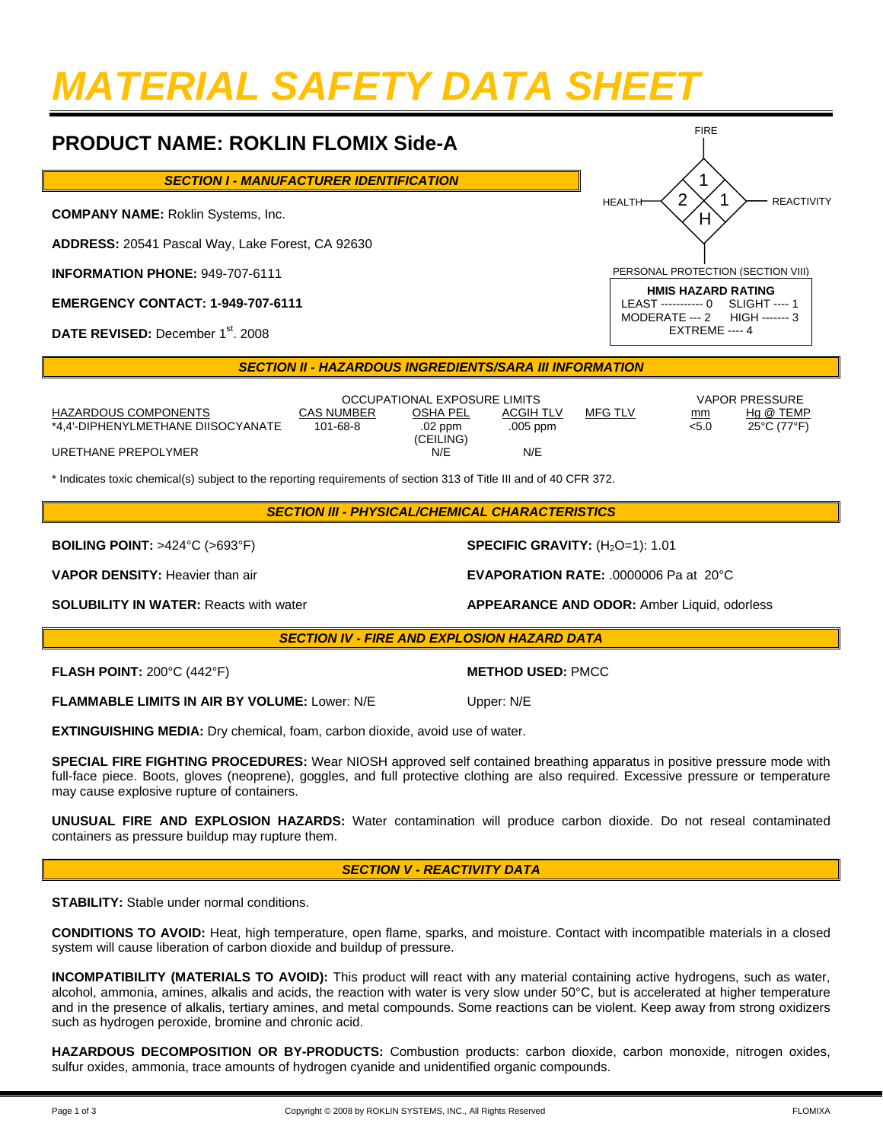# *MATERIAL SAFETY DATA SHEET*

## **PRODUCT NAME: ROKLIN FLOMIX Side-A**

*SECTION I - MANUFACTURER IDENTIFICATION* 

**COMPANY NAME:** Roklin Systems, Inc.

**ADDRESS:** 20541 Pascal Way, Lake Forest, CA 92630

**INFORMATION PHONE:** 949-707-6111

**EMERGENCY CONTACT: 1-949-707-6111**

DATE REVISED: December 1<sup>st</sup>. 2008

#### **SECTION II - HAZARDOUS INGREDIENTS/SARA III INFORMATION**

|                                    | OCCUPATIONAL EXPOSURE LIMITS |                      |            |                |       | VAPOR PRESSURE                   |  |
|------------------------------------|------------------------------|----------------------|------------|----------------|-------|----------------------------------|--|
| HAZARDOUS COMPONENTS               | <b>CAS NUMBER</b>            | OSHA PEL             | ACGIH TLV  | <b>MFG TLV</b> | mm    | Hg @ TEMP                        |  |
| *4.4'-DIPHENYLMETHANE DIISOCYANATE | 101-68-8                     | .02 ppm<br>(CEILING) | $.005$ ppm |                | < 5.0 | $25^{\circ}$ C (77 $^{\circ}$ F) |  |
| URETHANE PREPOLYMER                |                              | N/E                  | N/E        |                |       |                                  |  |

\* Indicates toxic chemical(s) subject to the reporting requirements of section 313 of Title III and of 40 CFR 372.

**BOILING POINT:** >424°C (>693°F) **SPECIFIC GRAVITY:** (H<sub>2</sub>O=1): 1.01

**VAPOR DENSITY:** Heavier than air **EVAPORATION RATE:** .0000006 Pa at 20°C

#### *SECTION IV - FIRE AND EXPLOSION HAZARD DATA*

**FLASH POINT:** 200°C (442°F) **METHOD USED:** PMCC

**FLAMMABLE LIMITS IN AIR BY VOLUME:** Lower: N/E Upper: N/E

**EXTINGUISHING MEDIA:** Dry chemical, foam, carbon dioxide, avoid use of water.

**SPECIAL FIRE FIGHTING PROCEDURES:** Wear NIOSH approved self contained breathing apparatus in positive pressure mode with full-face piece. Boots, gloves (neoprene), goggles, and full protective clothing are also required. Excessive pressure or temperature may cause explosive rupture of containers.

**UNUSUAL FIRE AND EXPLOSION HAZARDS:** Water contamination will produce carbon dioxide. Do not reseal contaminated containers as pressure buildup may rupture them.

#### *SECTION V - REACTIVITY DATA*

**STABILITY:** Stable under normal conditions.

**CONDITIONS TO AVOID:** Heat, high temperature, open flame, sparks, and moisture. Contact with incompatible materials in a closed system will cause liberation of carbon dioxide and buildup of pressure.

**INCOMPATIBILITY (MATERIALS TO AVOID):** This product will react with any material containing active hydrogens, such as water, alcohol, ammonia, amines, alkalis and acids, the reaction with water is very slow under 50°C, but is accelerated at higher temperature and in the presence of alkalis, tertiary amines, and metal compounds. Some reactions can be violent. Keep away from strong oxidizers such as hydrogen peroxide, bromine and chronic acid.

**HAZARDOUS DECOMPOSITION OR BY-PRODUCTS:** Combustion products: carbon dioxide, carbon monoxide, nitrogen oxides, sulfur oxides, ammonia, trace amounts of hydrogen cyanide and unidentified organic compounds.

**SOLUBILITY IN WATER:** Reacts with water **ALC 2008 APPEARANCE AND ODOR:** Amber Liquid, odorless

MODERATE --- 2

1 1 H

2

HEALTH  $\prec$  2  $\times$  1  $\succ$  reactivity

PERSONAL PROTECTION (SECTION VIII) **HMIS HAZARD RATING**  LEAST ----------- 0<br>MODERATE --- 2 HIGH ------- 3

EXTREME ---- 4

FIRE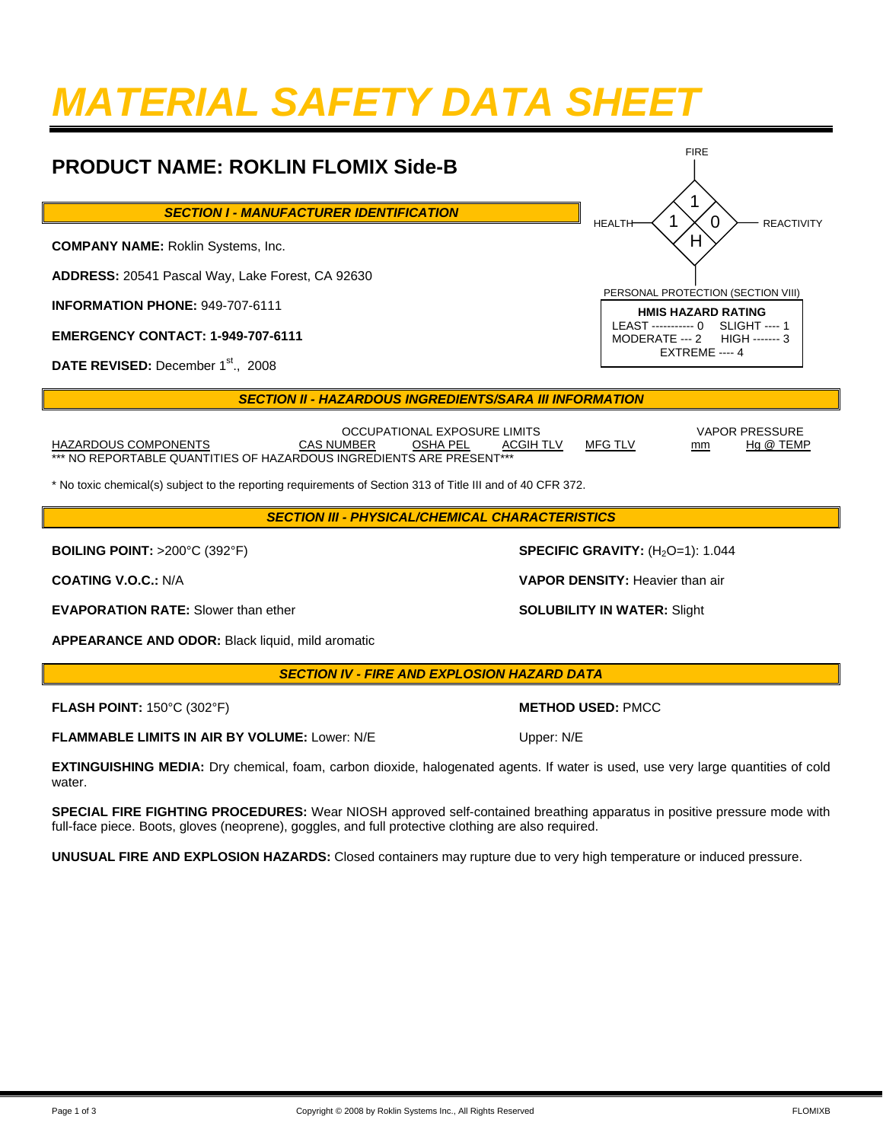## *MATERIAL SAFETY DATA SHEET*

#### **PRODUCT NAME: ROKLIN FLOMIX Side-B** *SECTION I - MANUFACTURER IDENTIFICATION*  **COMPANY NAME:** Roklin Systems, Inc. **ADDRESS:** 20541 Pascal Way, Lake Forest, CA 92630 **INFORMATION PHONE:** 949-707-6111 **EMERGENCY CONTACT: 1-949-707-6111** DATE REVISED: December 1<sup>st</sup>., 2008 **SECTION II - HAZARDOUS INGREDIENTS/SARA III INFORMATION** 1 0  $H$ FIRE HEALTH  $\prec$  1  $\times$  0  $\succ$  reactivity PERSONAL PROTECTION (SECTION VIII) **HMIS HAZARD RATING**  LEAST ----------- 0 MODERATE --- 2 HIGH ------- 3 EXTREME ---- 4 1

OCCUPATIONAL EXPOSURE LIMITS VAPOR PRESSURE<br>CAS NUMBER OSHA PEL ACGIH TLV MFG TLV mm Hg @ TEMP HAZARDOUS COMPONENTS CAS NUMBER OSHA PEL ACGIH TLV MFG TLV mm \*\*\* NO REPORTABLE QUANTITIES OF HAZARDOUS INGREDIENTS ARE PRESENT\*\*\*

\* No toxic chemical(s) subject to the reporting requirements of Section 313 of Title III and of 40 CFR 372.

*SECTION III - PHYSICAL/CHEMICAL CHARACTERISTICS* 

**BOILING POINT:** >200°C (392°F) **SPECIFIC GRAVITY:** (H<sub>2</sub>O=1): 1.044

**EVAPORATION RATE:** Slower than ether **SOLUBILITY IN WATER:** Slight

**APPEARANCE AND ODOR:** Black liquid, mild aromatic

*SECTION IV - FIRE AND EXPLOSION HAZARD DATA* 

**FLASH POINT:** 150°C (302°F) **METHOD USED:** PMCC

**FLAMMABLE LIMITS IN AIR BY VOLUME:** Lower: N/E Upper: N/E

**EXTINGUISHING MEDIA:** Dry chemical, foam, carbon dioxide, halogenated agents. If water is used, use very large quantities of cold water

**SPECIAL FIRE FIGHTING PROCEDURES:** Wear NIOSH approved self-contained breathing apparatus in positive pressure mode with full-face piece. Boots, gloves (neoprene), goggles, and full protective clothing are also required.

**UNUSUAL FIRE AND EXPLOSION HAZARDS:** Closed containers may rupture due to very high temperature or induced pressure.

**COATING V.O.C.:** N/A **VAPOR DENSITY:** Heavier than air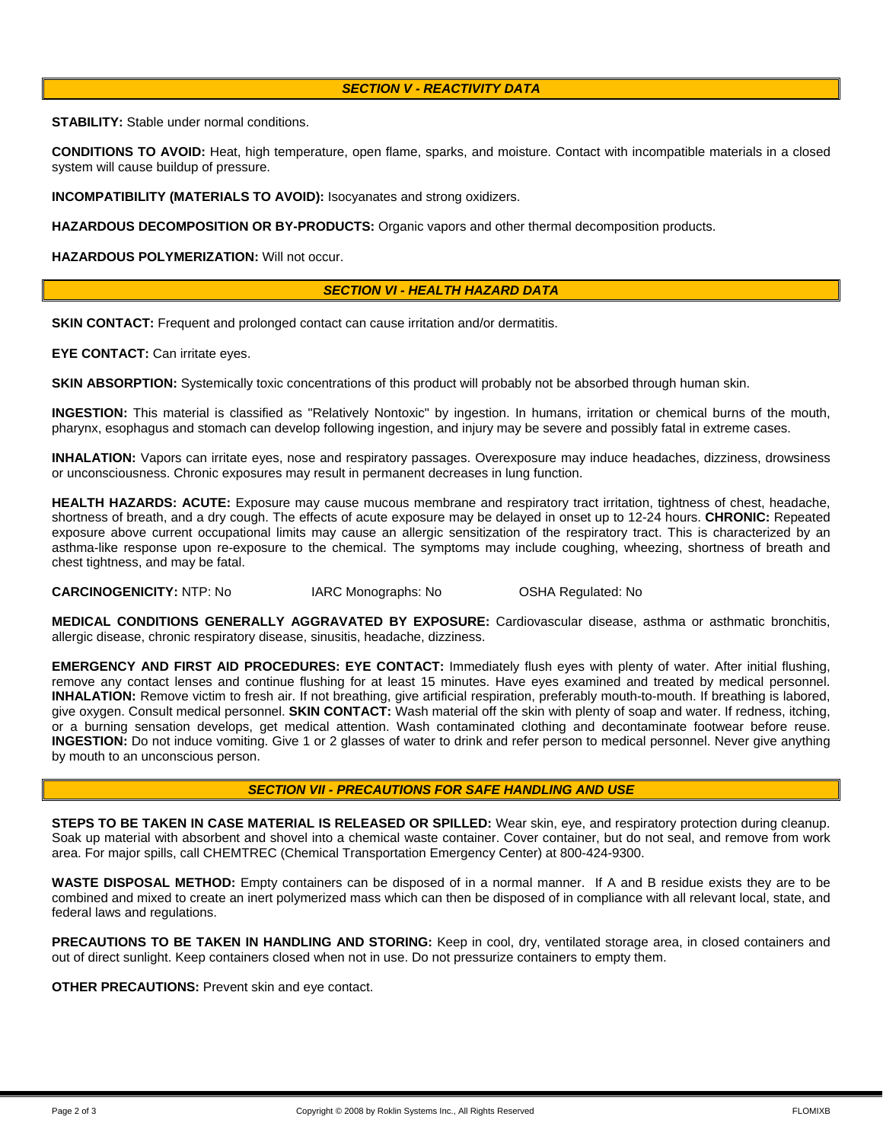### *SECTION V - REACTIVITY DATA*

**STABILITY:** Stable under normal conditions.

**CONDITIONS TO AVOID:** Heat, high temperature, open flame, sparks, and moisture. Contact with incompatible materials in a closed system will cause buildup of pressure.

**INCOMPATIBILITY (MATERIALS TO AVOID):** Isocyanates and strong oxidizers.

**HAZARDOUS DECOMPOSITION OR BY-PRODUCTS:** Organic vapors and other thermal decomposition products.

**HAZARDOUS POLYMERIZATION:** Will not occur.

#### *SECTION VI - HEALTH HAZARD DATA*

**SKIN CONTACT:** Frequent and prolonged contact can cause irritation and/or dermatitis.

**EYE CONTACT:** Can irritate eyes.

**SKIN ABSORPTION:** Systemically toxic concentrations of this product will probably not be absorbed through human skin.

**INGESTION:** This material is classified as "Relatively Nontoxic" by ingestion. In humans, irritation or chemical burns of the mouth, pharynx, esophagus and stomach can develop following ingestion, and injury may be severe and possibly fatal in extreme cases.

**INHALATION:** Vapors can irritate eyes, nose and respiratory passages. Overexposure may induce headaches, dizziness, drowsiness or unconsciousness. Chronic exposures may result in permanent decreases in lung function.

**HEALTH HAZARDS: ACUTE:** Exposure may cause mucous membrane and respiratory tract irritation, tightness of chest, headache, shortness of breath, and a dry cough. The effects of acute exposure may be delayed in onset up to 12-24 hours. **CHRONIC:** Repeated exposure above current occupational limits may cause an allergic sensitization of the respiratory tract. This is characterized by an asthma-like response upon re-exposure to the chemical. The symptoms may include coughing, wheezing, shortness of breath and chest tightness, and may be fatal.

**CARCINOGENICITY:** NTP: No IARC Monographs: No OSHA Regulated: No

**MEDICAL CONDITIONS GENERALLY AGGRAVATED BY EXPOSURE:** Cardiovascular disease, asthma or asthmatic bronchitis, allergic disease, chronic respiratory disease, sinusitis, headache, dizziness.

**EMERGENCY AND FIRST AID PROCEDURES: EYE CONTACT:** Immediately flush eyes with plenty of water. After initial flushing, remove any contact lenses and continue flushing for at least 15 minutes. Have eyes examined and treated by medical personnel. **INHALATION:** Remove victim to fresh air. If not breathing, give artificial respiration, preferably mouth-to-mouth. If breathing is labored, give oxygen. Consult medical personnel. **SKIN CONTACT:** Wash material off the skin with plenty of soap and water. If redness, itching, or a burning sensation develops, get medical attention. Wash contaminated clothing and decontaminate footwear before reuse. **INGESTION:** Do not induce vomiting. Give 1 or 2 glasses of water to drink and refer person to medical personnel. Never give anything by mouth to an unconscious person.

#### *SECTION VII - PRECAUTIONS FOR SAFE HANDLING AND USE*

**STEPS TO BE TAKEN IN CASE MATERIAL IS RELEASED OR SPILLED:** Wear skin, eye, and respiratory protection during cleanup. Soak up material with absorbent and shovel into a chemical waste container. Cover container, but do not seal, and remove from work area. For major spills, call CHEMTREC (Chemical Transportation Emergency Center) at 800-424-9300.

**WASTE DISPOSAL METHOD:** Empty containers can be disposed of in a normal manner. If A and B residue exists they are to be combined and mixed to create an inert polymerized mass which can then be disposed of in compliance with all relevant local, state, and federal laws and regulations.

PRECAUTIONS TO BE TAKEN IN HANDLING AND STORING: Keep in cool, dry, ventilated storage area, in closed containers and out of direct sunlight. Keep containers closed when not in use. Do not pressurize containers to empty them.

**OTHER PRECAUTIONS:** Prevent skin and eye contact.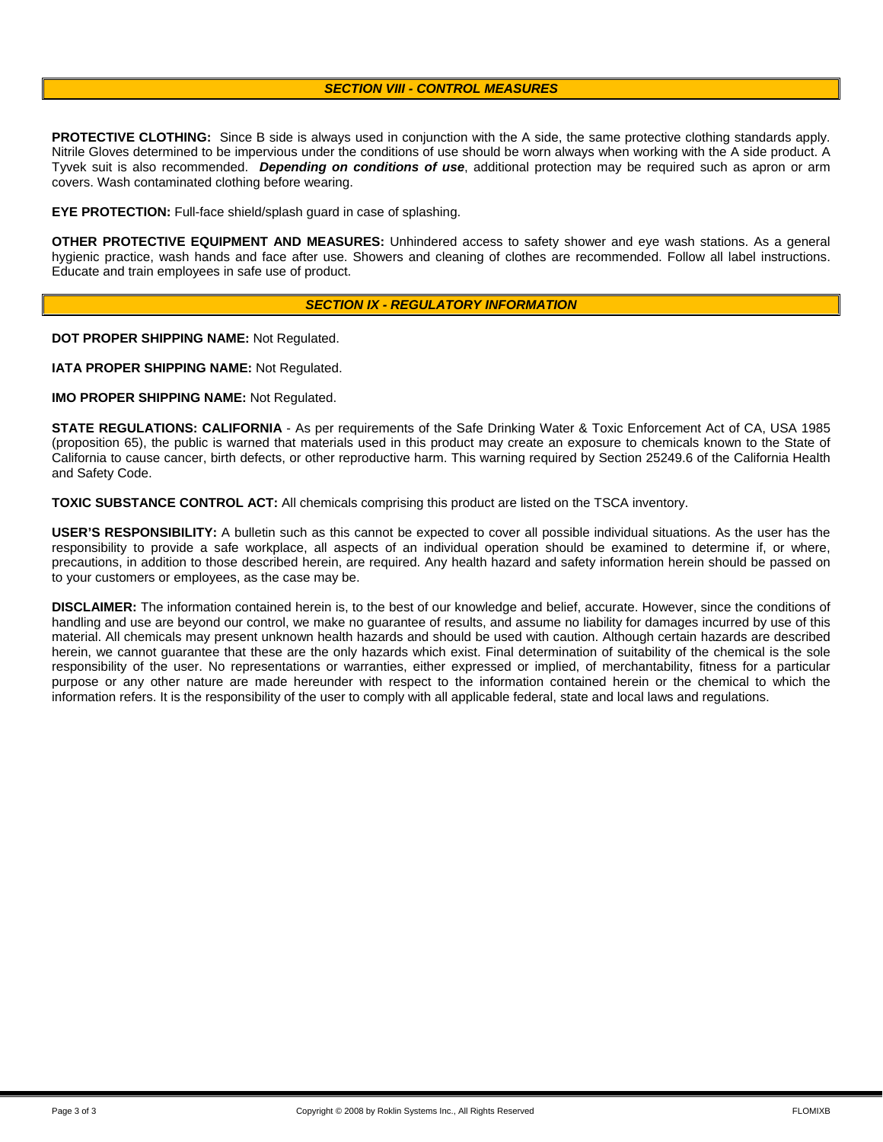#### *SECTION VIII - CONTROL MEASURES*

**PROTECTIVE CLOTHING:** Since B side is always used in conjunction with the A side, the same protective clothing standards apply. Nitrile Gloves determined to be impervious under the conditions of use should be worn always when working with the A side product. A Tyvek suit is also recommended. *Depending on conditions of use*, additional protection may be required such as apron or arm covers. Wash contaminated clothing before wearing.

**EYE PROTECTION:** Full-face shield/splash guard in case of splashing.

**OTHER PROTECTIVE EQUIPMENT AND MEASURES:** Unhindered access to safety shower and eye wash stations. As a general hygienic practice, wash hands and face after use. Showers and cleaning of clothes are recommended. Follow all label instructions. Educate and train employees in safe use of product.

#### *SECTION IX - REGULATORY INFORMATION*

**DOT PROPER SHIPPING NAME:** Not Regulated.

**IATA PROPER SHIPPING NAME:** Not Regulated.

**IMO PROPER SHIPPING NAME:** Not Regulated.

**STATE REGULATIONS: CALIFORNIA** - As per requirements of the Safe Drinking Water & Toxic Enforcement Act of CA, USA 1985 (proposition 65), the public is warned that materials used in this product may create an exposure to chemicals known to the State of California to cause cancer, birth defects, or other reproductive harm. This warning required by Section 25249.6 of the California Health and Safety Code.

**TOXIC SUBSTANCE CONTROL ACT:** All chemicals comprising this product are listed on the TSCA inventory.

**USER'S RESPONSIBILITY:** A bulletin such as this cannot be expected to cover all possible individual situations. As the user has the responsibility to provide a safe workplace, all aspects of an individual operation should be examined to determine if, or where, precautions, in addition to those described herein, are required. Any health hazard and safety information herein should be passed on to your customers or employees, as the case may be.

**DISCLAIMER:** The information contained herein is, to the best of our knowledge and belief, accurate. However, since the conditions of handling and use are beyond our control, we make no guarantee of results, and assume no liability for damages incurred by use of this material. All chemicals may present unknown health hazards and should be used with caution. Although certain hazards are described herein, we cannot guarantee that these are the only hazards which exist. Final determination of suitability of the chemical is the sole responsibility of the user. No representations or warranties, either expressed or implied, of merchantability, fitness for a particular purpose or any other nature are made hereunder with respect to the information contained herein or the chemical to which the information refers. It is the responsibility of the user to comply with all applicable federal, state and local laws and regulations.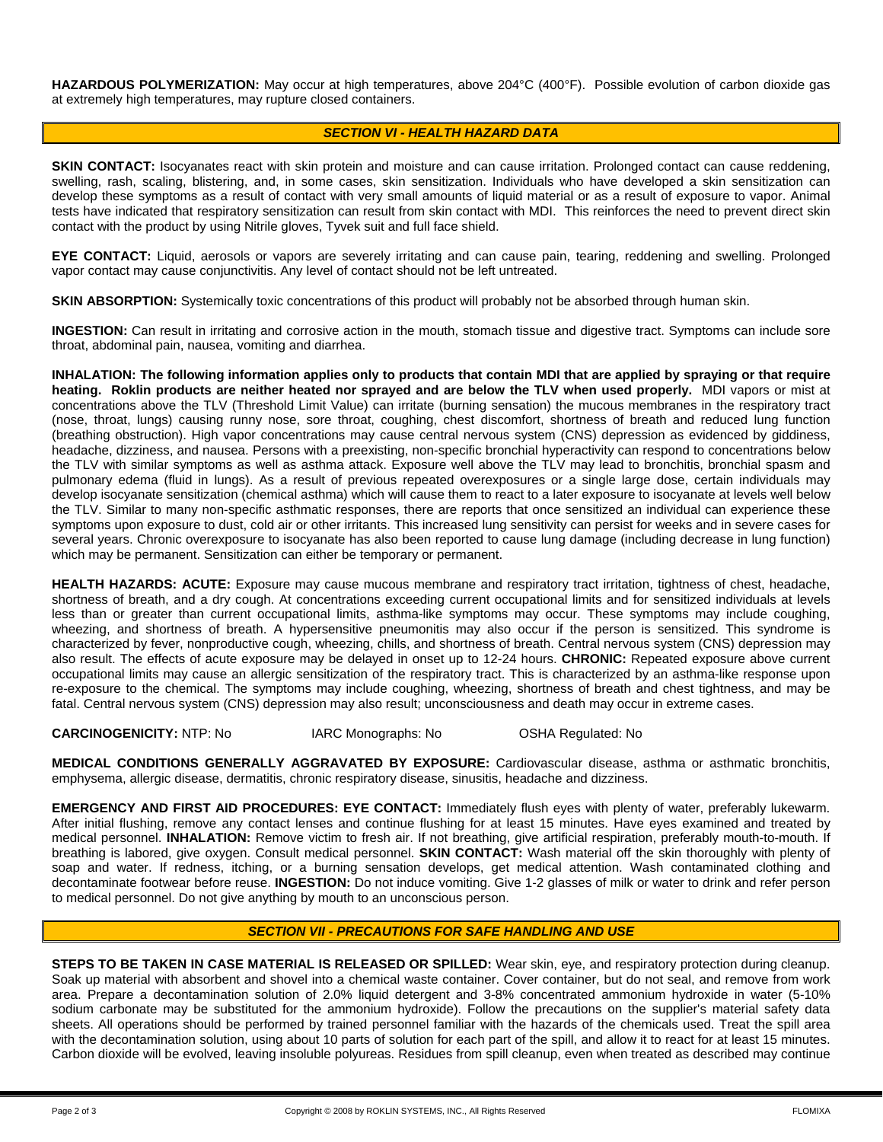**HAZARDOUS POLYMERIZATION:** May occur at high temperatures, above 204°C (400°F). Possible evolution of carbon dioxide gas at extremely high temperatures, may rupture closed containers.

### *SECTION VI - HEALTH HAZARD DATA*

**SKIN CONTACT:** Isocyanates react with skin protein and moisture and can cause irritation. Prolonged contact can cause reddening, swelling, rash, scaling, blistering, and, in some cases, skin sensitization. Individuals who have developed a skin sensitization can develop these symptoms as a result of contact with very small amounts of liquid material or as a result of exposure to vapor. Animal tests have indicated that respiratory sensitization can result from skin contact with MDI. This reinforces the need to prevent direct skin contact with the product by using Nitrile gloves, Tyvek suit and full face shield.

**EYE CONTACT:** Liquid, aerosols or vapors are severely irritating and can cause pain, tearing, reddening and swelling. Prolonged vapor contact may cause conjunctivitis. Any level of contact should not be left untreated.

**SKIN ABSORPTION:** Systemically toxic concentrations of this product will probably not be absorbed through human skin.

**INGESTION:** Can result in irritating and corrosive action in the mouth, stomach tissue and digestive tract. Symptoms can include sore throat, abdominal pain, nausea, vomiting and diarrhea.

**INHALATION: The following information applies only to products that contain MDI that are applied by spraying or that require heating. Roklin products are neither heated nor sprayed and are below the TLV when used properly.** MDI vapors or mist at concentrations above the TLV (Threshold Limit Value) can irritate (burning sensation) the mucous membranes in the respiratory tract (nose, throat, lungs) causing runny nose, sore throat, coughing, chest discomfort, shortness of breath and reduced lung function (breathing obstruction). High vapor concentrations may cause central nervous system (CNS) depression as evidenced by giddiness, headache, dizziness, and nausea. Persons with a preexisting, non-specific bronchial hyperactivity can respond to concentrations below the TLV with similar symptoms as well as asthma attack. Exposure well above the TLV may lead to bronchitis, bronchial spasm and pulmonary edema (fluid in lungs). As a result of previous repeated overexposures or a single large dose, certain individuals may develop isocyanate sensitization (chemical asthma) which will cause them to react to a later exposure to isocyanate at levels well below the TLV. Similar to many non-specific asthmatic responses, there are reports that once sensitized an individual can experience these symptoms upon exposure to dust, cold air or other irritants. This increased lung sensitivity can persist for weeks and in severe cases for several years. Chronic overexposure to isocyanate has also been reported to cause lung damage (including decrease in lung function) which may be permanent. Sensitization can either be temporary or permanent.

**HEALTH HAZARDS: ACUTE:** Exposure may cause mucous membrane and respiratory tract irritation, tightness of chest, headache, shortness of breath, and a dry cough. At concentrations exceeding current occupational limits and for sensitized individuals at levels less than or greater than current occupational limits, asthma-like symptoms may occur. These symptoms may include coughing, wheezing, and shortness of breath. A hypersensitive pneumonitis may also occur if the person is sensitized. This syndrome is characterized by fever, nonproductive cough, wheezing, chills, and shortness of breath. Central nervous system (CNS) depression may also result. The effects of acute exposure may be delayed in onset up to 12-24 hours. **CHRONIC:** Repeated exposure above current occupational limits may cause an allergic sensitization of the respiratory tract. This is characterized by an asthma-like response upon re-exposure to the chemical. The symptoms may include coughing, wheezing, shortness of breath and chest tightness, and may be fatal. Central nervous system (CNS) depression may also result; unconsciousness and death may occur in extreme cases.

**CARCINOGENICITY:** NTP: No IARC Monographs: No OSHA Regulated: No

**MEDICAL CONDITIONS GENERALLY AGGRAVATED BY EXPOSURE:** Cardiovascular disease, asthma or asthmatic bronchitis, emphysema, allergic disease, dermatitis, chronic respiratory disease, sinusitis, headache and dizziness.

**EMERGENCY AND FIRST AID PROCEDURES: EYE CONTACT:** Immediately flush eyes with plenty of water, preferably lukewarm. After initial flushing, remove any contact lenses and continue flushing for at least 15 minutes. Have eyes examined and treated by medical personnel. **INHALATION:** Remove victim to fresh air. If not breathing, give artificial respiration, preferably mouth-to-mouth. If breathing is labored, give oxygen. Consult medical personnel. **SKIN CONTACT:** Wash material off the skin thoroughly with plenty of soap and water. If redness, itching, or a burning sensation develops, get medical attention. Wash contaminated clothing and decontaminate footwear before reuse. **INGESTION:** Do not induce vomiting. Give 1-2 glasses of milk or water to drink and refer person to medical personnel. Do not give anything by mouth to an unconscious person.

### *SECTION VII - PRECAUTIONS FOR SAFE HANDLING AND USE*

**STEPS TO BE TAKEN IN CASE MATERIAL IS RELEASED OR SPILLED:** Wear skin, eye, and respiratory protection during cleanup. Soak up material with absorbent and shovel into a chemical waste container. Cover container, but do not seal, and remove from work area. Prepare a decontamination solution of 2.0% liquid detergent and 3-8% concentrated ammonium hydroxide in water (5-10% sodium carbonate may be substituted for the ammonium hydroxide). Follow the precautions on the supplier's material safety data sheets. All operations should be performed by trained personnel familiar with the hazards of the chemicals used. Treat the spill area with the decontamination solution, using about 10 parts of solution for each part of the spill, and allow it to react for at least 15 minutes. Carbon dioxide will be evolved, leaving insoluble polyureas. Residues from spill cleanup, even when treated as described may continue